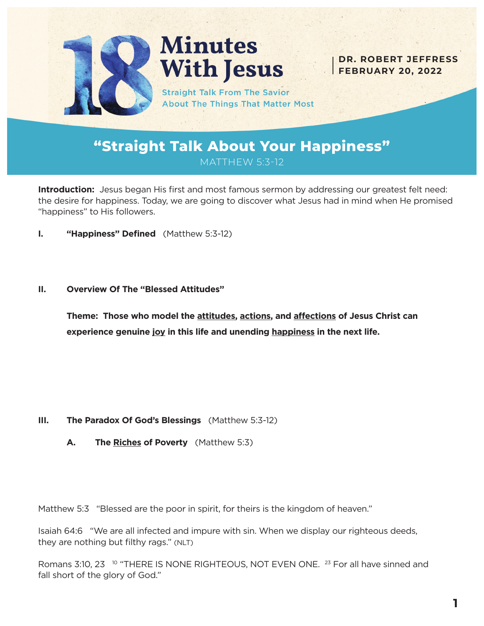

# **Minutes With Jesus**

**DR. ROBERT JEFFRESS FEBRUARY 20, 2022**

**Straight Talk From The Savior About The Things That Matter Most** 

# **"Straight Talk About Your Happiness"** MATTHEW 5:3-12

**Introduction:** Jesus began His first and most famous sermon by addressing our greatest felt need: the desire for happiness. Today, we are going to discover what Jesus had in mind when He promised "happiness" to His followers.

**I. "Happiness" Defined** (Matthew 5:3-12)

#### **II. Overview Of The "Blessed Attitudes"**

**Theme: Those who model the attitudes, actions, and affections of Jesus Christ can experience genuine joy in this life and unending happiness in the next life.**

- **III. The Paradox Of God's Blessings** (Matthew 5:3-12)
	- **A. The Riches of Poverty** (Matthew 5:3)

Matthew 5:3 "Blessed are the poor in spirit, for theirs is the kingdom of heaven."

Isaiah 64:6 "We are all infected and impure with sin. When we display our righteous deeds, they are nothing but filthy rags." (NLT)

Romans 3:10, 23 <sup>10</sup> "THERE IS NONE RIGHTEOUS, NOT EVEN ONE. <sup>23</sup> For all have sinned and fall short of the glory of God."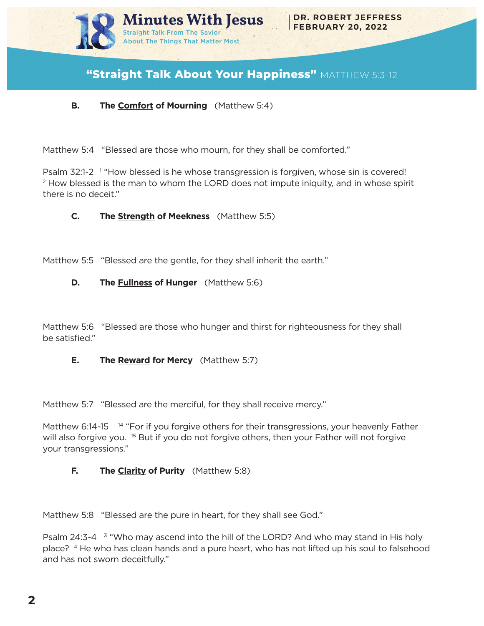

# **"Straight Talk About Your Happiness"** MATTHEW 5:3-12

## **B. The Comfort of Mourning** (Matthew 5:4)

Matthew 5:4 "Blessed are those who mourn, for they shall be comforted."

Psalm 32:1-2<sup>1</sup> "How blessed is he whose transgression is forgiven, whose sin is covered!  $2$  How blessed is the man to whom the LORD does not impute iniquity, and in whose spirit there is no deceit."

#### **C. The Strength of Meekness** (Matthew 5:5)

Matthew 5:5 "Blessed are the gentle, for they shall inherit the earth."

#### **D. The Fullness of Hunger** (Matthew 5:6)

Matthew 5:6 "Blessed are those who hunger and thirst for righteousness for they shall be satisfied."

#### **E. The Reward for Mercy** (Matthew 5:7)

Matthew 5:7 "Blessed are the merciful, for they shall receive mercy."

Matthew 6:14-15 <sup>14</sup> "For if you forgive others for their transgressions, your heavenly Father will also forgive you. <sup>15</sup> But if you do not forgive others, then your Father will not forgive your transgressions."

#### **F. The Clarity of Purity** (Matthew 5:8)

Matthew 5:8 "Blessed are the pure in heart, for they shall see God."

Psalm 24:3-4 <sup>3</sup> "Who may ascend into the hill of the LORD? And who may stand in His holy place? 4 He who has clean hands and a pure heart, who has not lifted up his soul to falsehood and has not sworn deceitfully."